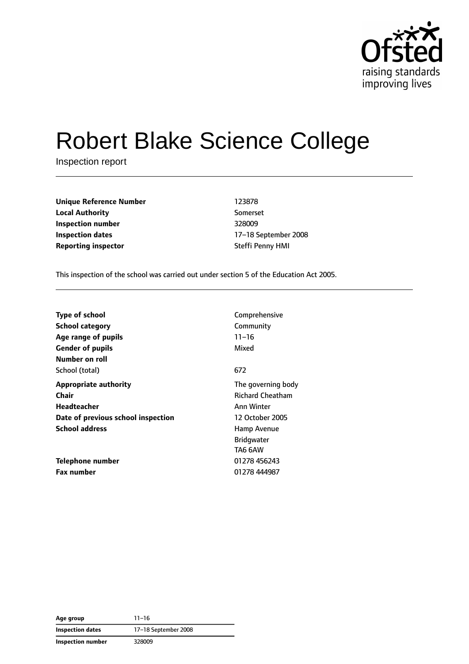

# Robert Blake Science College

Inspection report

| <b>Unique Reference Number</b> | 123878           |
|--------------------------------|------------------|
| <b>Local Authority</b>         | Somerset         |
| Inspection number              | 328009           |
| <b>Inspection dates</b>        | 17-18 September  |
| <b>Reporting inspector</b>     | Steffi Penny HMI |

**Local Authority** Somerset **Inspection number** 328009 **Inspection dates** 17–18 September 2008

This inspection of the school was carried out under section 5 of the Education Act 2005.

| <b>Type of school</b>              | Comprehensive           |
|------------------------------------|-------------------------|
|                                    |                         |
| <b>School category</b>             | Community               |
| Age range of pupils                | $11 - 16$               |
| <b>Gender of pupils</b>            | Mixed                   |
| Number on roll                     |                         |
| School (total)                     | 672                     |
| <b>Appropriate authority</b>       | The governing body      |
| Chair                              | <b>Richard Cheatham</b> |
| <b>Headteacher</b>                 | <b>Ann Winter</b>       |
| Date of previous school inspection | 12 October 2005         |
| <b>School address</b>              | Hamp Avenue             |
|                                    | <b>Bridgwater</b>       |
|                                    | TA6 6AW                 |
| Telephone number                   | 01278 456243            |
| <b>Fax number</b>                  | 01278 444987            |

**Age group** 11–16 **Inspection dates** 17–18 September 2008 **Inspection number** 328009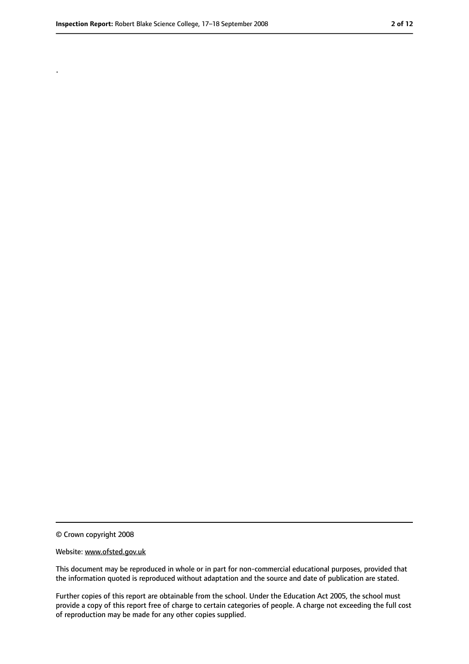.

<sup>©</sup> Crown copyright 2008

Website: www.ofsted.gov.uk

This document may be reproduced in whole or in part for non-commercial educational purposes, provided that the information quoted is reproduced without adaptation and the source and date of publication are stated.

Further copies of this report are obtainable from the school. Under the Education Act 2005, the school must provide a copy of this report free of charge to certain categories of people. A charge not exceeding the full cost of reproduction may be made for any other copies supplied.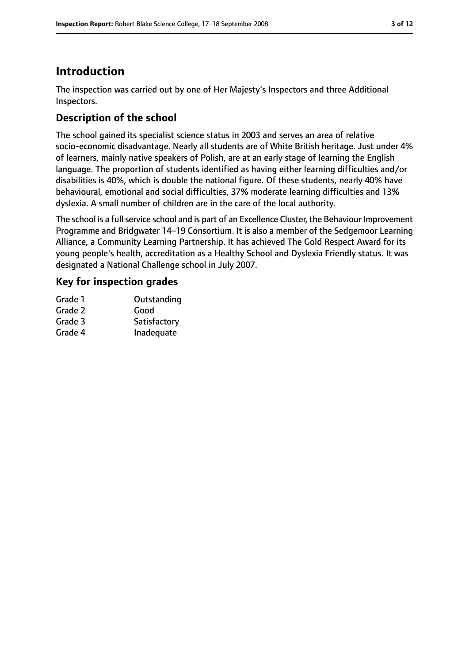# **Introduction**

The inspection was carried out by one of Her Majesty's Inspectors and three Additional Inspectors.

# **Description of the school**

The school gained its specialist science status in 2003 and serves an area of relative socio-economic disadvantage. Nearly all students are of White British heritage. Just under 4% of learners, mainly native speakers of Polish, are at an early stage of learning the English language. The proportion of students identified as having either learning difficulties and/or disabilities is 40%, which is double the national figure. Of these students, nearly 40% have behavioural, emotional and social difficulties, 37% moderate learning difficulties and 13% dyslexia. A small number of children are in the care of the local authority.

The school is a full service school and is part of an Excellence Cluster, the Behaviour Improvement Programme and Bridgwater 14–19 Consortium. It is also a member of the Sedgemoor Learning Alliance, a Community Learning Partnership. It has achieved The Gold Respect Award for its young people's health, accreditation as a Healthy School and Dyslexia Friendly status. It was designated a National Challenge school in July 2007.

### **Key for inspection grades**

| Grade 1 | Outstanding  |
|---------|--------------|
| Grade 2 | Good         |
| Grade 3 | Satisfactory |
| Grade 4 | Inadequate   |
|         |              |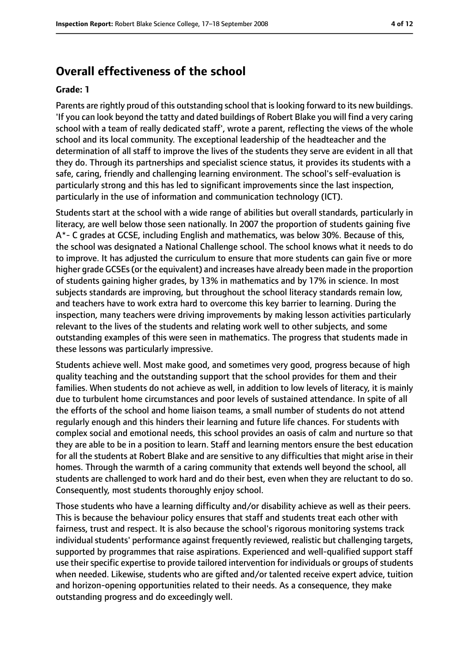#### **Overall effectiveness of the school**

#### **Grade: 1**

Parents are rightly proud of this outstanding school that islooking forward to its new buildings. 'If you can look beyond the tatty and dated buildings of Robert Blake you will find a very caring school with a team of really dedicated staff', wrote a parent, reflecting the views of the whole school and its local community. The exceptional leadership of the headteacher and the determination of all staff to improve the lives of the students they serve are evident in all that they do. Through its partnerships and specialist science status, it provides its students with a safe, caring, friendly and challenging learning environment. The school's self-evaluation is particularly strong and this has led to significant improvements since the last inspection, particularly in the use of information and communication technology (ICT).

Students start at the school with a wide range of abilities but overall standards, particularly in literacy, are well below those seen nationally. In 2007 the proportion of students gaining five A\*- C grades at GCSE, including English and mathematics, was below 30%. Because of this, the school was designated a National Challenge school. The school knows what it needs to do to improve. It has adjusted the curriculum to ensure that more students can gain five or more higher grade GCSEs(or the equivalent) and increases have already been made in the proportion of students gaining higher grades, by 13% in mathematics and by 17% in science. In most subjects standards are improving, but throughout the school literacy standards remain low, and teachers have to work extra hard to overcome this key barrier to learning. During the inspection, many teachers were driving improvements by making lesson activities particularly relevant to the lives of the students and relating work well to other subjects, and some outstanding examples of this were seen in mathematics. The progress that students made in these lessons was particularly impressive.

Students achieve well. Most make good, and sometimes very good, progress because of high quality teaching and the outstanding support that the school provides for them and their families. When students do not achieve as well, in addition to low levels of literacy, it is mainly due to turbulent home circumstances and poor levels of sustained attendance. In spite of all the efforts of the school and home liaison teams, a small number of students do not attend regularly enough and this hinders their learning and future life chances. For students with complex social and emotional needs, this school provides an oasis of calm and nurture so that they are able to be in a position to learn. Staff and learning mentors ensure the best education for all the students at Robert Blake and are sensitive to any difficulties that might arise in their homes. Through the warmth of a caring community that extends well beyond the school, all students are challenged to work hard and do their best, even when they are reluctant to do so. Consequently, most students thoroughly enjoy school.

Those students who have a learning difficulty and/or disability achieve as well as their peers. This is because the behaviour policy ensures that staff and students treat each other with fairness, trust and respect. It is also because the school's rigorous monitoring systems track individual students' performance against frequently reviewed, realistic but challenging targets, supported by programmes that raise aspirations. Experienced and well-qualified support staff use their specific expertise to provide tailored intervention for individuals or groups of students when needed. Likewise, students who are gifted and/or talented receive expert advice, tuition and horizon-opening opportunities related to their needs. As a consequence, they make outstanding progress and do exceedingly well.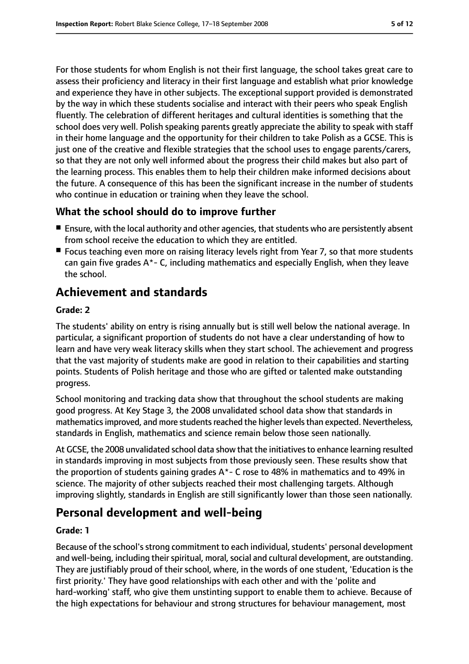For those students for whom English is not their first language, the school takes great care to assess their proficiency and literacy in their first language and establish what prior knowledge and experience they have in other subjects. The exceptional support provided is demonstrated by the way in which these students socialise and interact with their peers who speak English fluently. The celebration of different heritages and cultural identities is something that the school does very well. Polish speaking parents greatly appreciate the ability to speak with staff in their home language and the opportunity for their children to take Polish as a GCSE. This is just one of the creative and flexible strategies that the school uses to engage parents/carers, so that they are not only well informed about the progress their child makes but also part of the learning process. This enables them to help their children make informed decisions about the future. A consequence of this has been the significant increase in the number of students who continue in education or training when they leave the school.

### **What the school should do to improve further**

- Ensure, with the local authority and other agencies, that students who are persistently absent from school receive the education to which they are entitled.
- Focus teaching even more on raising literacy levels right from Year 7, so that more students can gain five grades A\*- C, including mathematics and especially English, when they leave the school.

# **Achievement and standards**

#### **Grade: 2**

The students' ability on entry is rising annually but is still well below the national average. In particular, a significant proportion of students do not have a clear understanding of how to learn and have very weak literacy skills when they start school. The achievement and progress that the vast majority of students make are good in relation to their capabilities and starting points. Students of Polish heritage and those who are gifted or talented make outstanding progress.

School monitoring and tracking data show that throughout the school students are making good progress. At Key Stage 3, the 2008 unvalidated school data show that standards in mathematics improved, and more students reached the higher levels than expected. Nevertheless, standards in English, mathematics and science remain below those seen nationally.

At GCSE, the 2008 unvalidated school data show that the initiatives to enhance learning resulted in standards improving in most subjects from those previously seen. These results show that the proportion of students gaining grades  $A^*$ - C rose to 48% in mathematics and to 49% in science. The majority of other subjects reached their most challenging targets. Although improving slightly, standards in English are still significantly lower than those seen nationally.

# **Personal development and well-being**

#### **Grade: 1**

Because of the school's strong commitment to each individual, students' personal development and well-being, including their spiritual, moral, social and cultural development, are outstanding. They are justifiably proud of their school, where, in the words of one student, 'Education is the first priority.' They have good relationships with each other and with the 'polite and hard-working' staff, who give them unstinting support to enable them to achieve. Because of the high expectations for behaviour and strong structures for behaviour management, most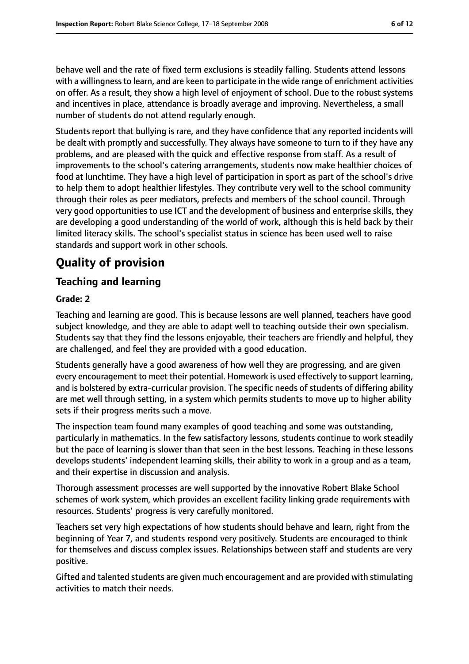behave well and the rate of fixed term exclusions is steadily falling. Students attend lessons with a willingness to learn, and are keen to participate in the wide range of enrichment activities on offer. As a result, they show a high level of enjoyment of school. Due to the robust systems and incentives in place, attendance is broadly average and improving. Nevertheless, a small number of students do not attend regularly enough.

Students report that bullying is rare, and they have confidence that any reported incidents will be dealt with promptly and successfully. They always have someone to turn to if they have any problems, and are pleased with the quick and effective response from staff. As a result of improvements to the school's catering arrangements, students now make healthier choices of food at lunchtime. They have a high level of participation in sport as part of the school's drive to help them to adopt healthier lifestyles. They contribute very well to the school community through their roles as peer mediators, prefects and members of the school council. Through very good opportunities to use ICT and the development of business and enterprise skills, they are developing a good understanding of the world of work, although this is held back by their limited literacy skills. The school's specialist status in science has been used well to raise standards and support work in other schools.

# **Quality of provision**

#### **Teaching and learning**

#### **Grade: 2**

Teaching and learning are good. This is because lessons are well planned, teachers have good subject knowledge, and they are able to adapt well to teaching outside their own specialism. Students say that they find the lessons enjoyable, their teachers are friendly and helpful, they are challenged, and feel they are provided with a good education.

Students generally have a good awareness of how well they are progressing, and are given every encouragement to meet their potential. Homework is used effectively to support learning, and is bolstered by extra-curricular provision. The specific needs of students of differing ability are met well through setting, in a system which permits students to move up to higher ability sets if their progress merits such a move.

The inspection team found many examples of good teaching and some was outstanding, particularly in mathematics. In the few satisfactory lessons, students continue to work steadily but the pace of learning is slower than that seen in the best lessons. Teaching in these lessons develops students' independent learning skills, their ability to work in a group and as a team, and their expertise in discussion and analysis.

Thorough assessment processes are well supported by the innovative Robert Blake School schemes of work system, which provides an excellent facility linking grade requirements with resources. Students' progress is very carefully monitored.

Teachers set very high expectations of how students should behave and learn, right from the beginning of Year 7, and students respond very positively. Students are encouraged to think for themselves and discuss complex issues. Relationships between staff and students are very positive.

Gifted and talented students are given much encouragement and are provided with stimulating activities to match their needs.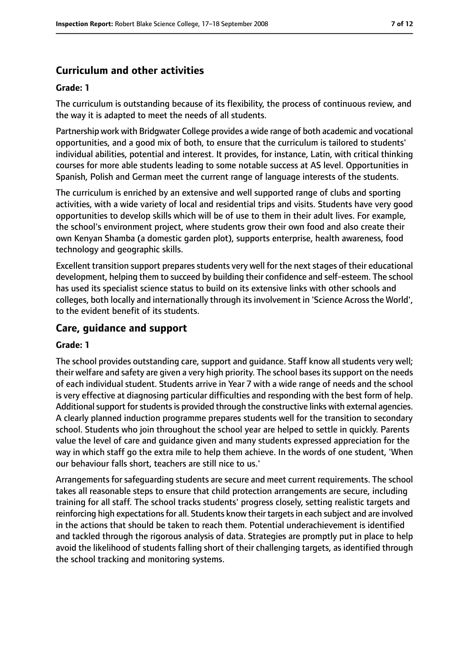#### **Curriculum and other activities**

#### **Grade: 1**

The curriculum is outstanding because of its flexibility, the process of continuous review, and the way it is adapted to meet the needs of all students.

Partnership work with Bridgwater College provides a wide range of both academic and vocational opportunities, and a good mix of both, to ensure that the curriculum is tailored to students' individual abilities, potential and interest. It provides, for instance, Latin, with critical thinking courses for more able students leading to some notable success at AS level. Opportunities in Spanish, Polish and German meet the current range of language interests of the students.

The curriculum is enriched by an extensive and well supported range of clubs and sporting activities, with a wide variety of local and residential trips and visits. Students have very good opportunities to develop skills which will be of use to them in their adult lives. For example, the school's environment project, where students grow their own food and also create their own Kenyan Shamba (a domestic garden plot), supports enterprise, health awareness, food technology and geographic skills.

Excellent transition support prepares students very well for the next stages of their educational development, helping them to succeed by building their confidence and self-esteem. The school has used its specialist science status to build on its extensive links with other schools and colleges, both locally and internationally through its involvement in 'Science Across the World', to the evident benefit of its students.

#### **Care, guidance and support**

#### **Grade: 1**

The school provides outstanding care, support and guidance. Staff know all students very well; their welfare and safety are given a very high priority. The school bases its support on the needs of each individual student. Students arrive in Year 7 with a wide range of needs and the school is very effective at diagnosing particular difficulties and responding with the best form of help. Additional support for students is provided through the constructive links with external agencies. A clearly planned induction programme prepares students well for the transition to secondary school. Students who join throughout the school year are helped to settle in quickly. Parents value the level of care and guidance given and many students expressed appreciation for the way in which staff go the extra mile to help them achieve. In the words of one student, 'When our behaviour falls short, teachers are still nice to us.'

Arrangements for safeguarding students are secure and meet current requirements. The school takes all reasonable steps to ensure that child protection arrangements are secure, including training for all staff. The school tracks students' progress closely, setting realistic targets and reinforcing high expectations for all. Students know their targets in each subject and are involved in the actions that should be taken to reach them. Potential underachievement is identified and tackled through the rigorous analysis of data. Strategies are promptly put in place to help avoid the likelihood of students falling short of their challenging targets, as identified through the school tracking and monitoring systems.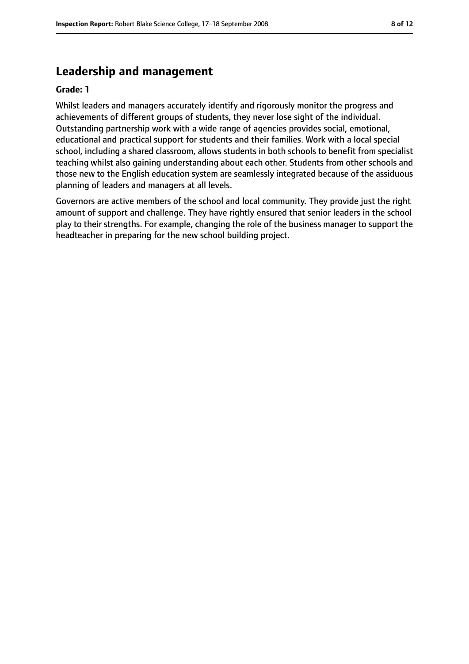# **Leadership and management**

#### **Grade: 1**

Whilst leaders and managers accurately identify and rigorously monitor the progress and achievements of different groups of students, they never lose sight of the individual. Outstanding partnership work with a wide range of agencies provides social, emotional, educational and practical support for students and their families. Work with a local special school, including a shared classroom, allows students in both schools to benefit from specialist teaching whilst also gaining understanding about each other. Students from other schools and those new to the English education system are seamlessly integrated because of the assiduous planning of leaders and managers at all levels.

Governors are active members of the school and local community. They provide just the right amount of support and challenge. They have rightly ensured that senior leaders in the school play to their strengths. For example, changing the role of the business manager to support the headteacher in preparing for the new school building project.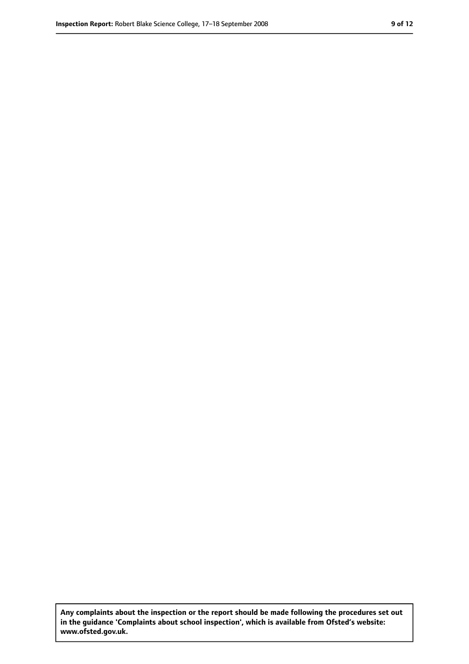**Any complaints about the inspection or the report should be made following the procedures set out in the guidance 'Complaints about school inspection', which is available from Ofsted's website: www.ofsted.gov.uk.**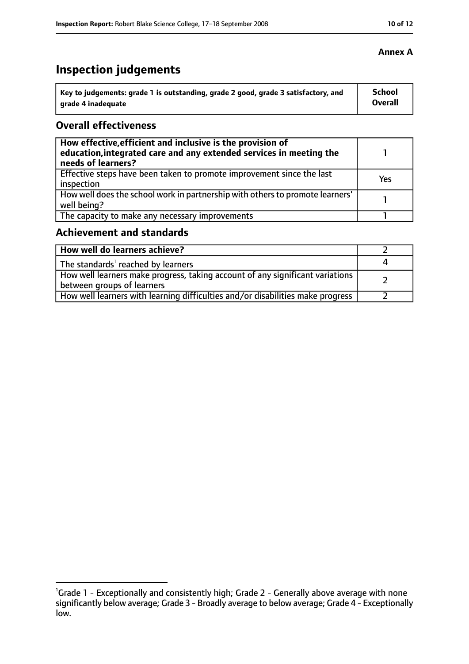# **Inspection judgements**

| Key to judgements: grade 1 is outstanding, grade 2 good, grade 3 satisfactory, and | School  |
|------------------------------------------------------------------------------------|---------|
| arade 4 inadequate                                                                 | Overall |

#### **Overall effectiveness**

| How effective, efficient and inclusive is the provision of<br>education, integrated care and any extended services in meeting the<br>needs of learners? |     |
|---------------------------------------------------------------------------------------------------------------------------------------------------------|-----|
| Effective steps have been taken to promote improvement since the last<br>inspection                                                                     | Yes |
| How well does the school work in partnership with others to promote learners'<br>well being?                                                            |     |
| The capacity to make any necessary improvements                                                                                                         |     |

### **Achievement and standards**

| How well do learners achieve?                                                                                 |  |
|---------------------------------------------------------------------------------------------------------------|--|
| The standards <sup>1</sup> reached by learners                                                                |  |
| How well learners make progress, taking account of any significant variations  <br>between groups of learners |  |
| How well learners with learning difficulties and/or disabilities make progress                                |  |

#### **Annex A**

<sup>&</sup>lt;sup>1</sup>Grade 1 - Exceptionally and consistently high; Grade 2 - Generally above average with none significantly below average; Grade 3 - Broadly average to below average; Grade 4 - Exceptionally low.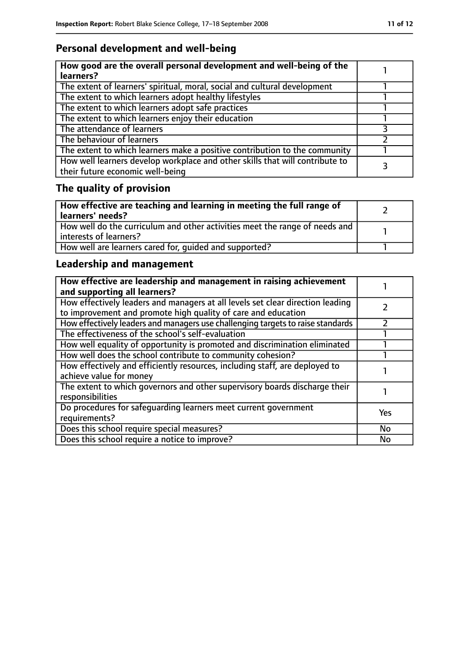# **Personal development and well-being**

| How good are the overall personal development and well-being of the<br>learners?                                 |  |
|------------------------------------------------------------------------------------------------------------------|--|
| The extent of learners' spiritual, moral, social and cultural development                                        |  |
| The extent to which learners adopt healthy lifestyles                                                            |  |
| The extent to which learners adopt safe practices                                                                |  |
| The extent to which learners enjoy their education                                                               |  |
| The attendance of learners                                                                                       |  |
| The behaviour of learners                                                                                        |  |
| The extent to which learners make a positive contribution to the community                                       |  |
| How well learners develop workplace and other skills that will contribute to<br>their future economic well-being |  |

# **The quality of provision**

| How effective are teaching and learning in meeting the full range of<br>learners' needs?              |  |
|-------------------------------------------------------------------------------------------------------|--|
| How well do the curriculum and other activities meet the range of needs and<br>interests of learners? |  |
| How well are learners cared for, quided and supported?                                                |  |

# **Leadership and management**

| How effective are leadership and management in raising achievement<br>and supporting all learners?                                              |     |
|-------------------------------------------------------------------------------------------------------------------------------------------------|-----|
| How effectively leaders and managers at all levels set clear direction leading<br>to improvement and promote high quality of care and education |     |
| How effectively leaders and managers use challenging targets to raise standards                                                                 |     |
| The effectiveness of the school's self-evaluation                                                                                               |     |
| How well equality of opportunity is promoted and discrimination eliminated                                                                      |     |
| How well does the school contribute to community cohesion?                                                                                      |     |
| How effectively and efficiently resources, including staff, are deployed to<br>achieve value for money                                          |     |
| The extent to which governors and other supervisory boards discharge their<br>responsibilities                                                  |     |
| Do procedures for safequarding learners meet current government<br>requirements?                                                                | Yes |
| Does this school require special measures?                                                                                                      | No  |
| Does this school require a notice to improve?                                                                                                   | No  |